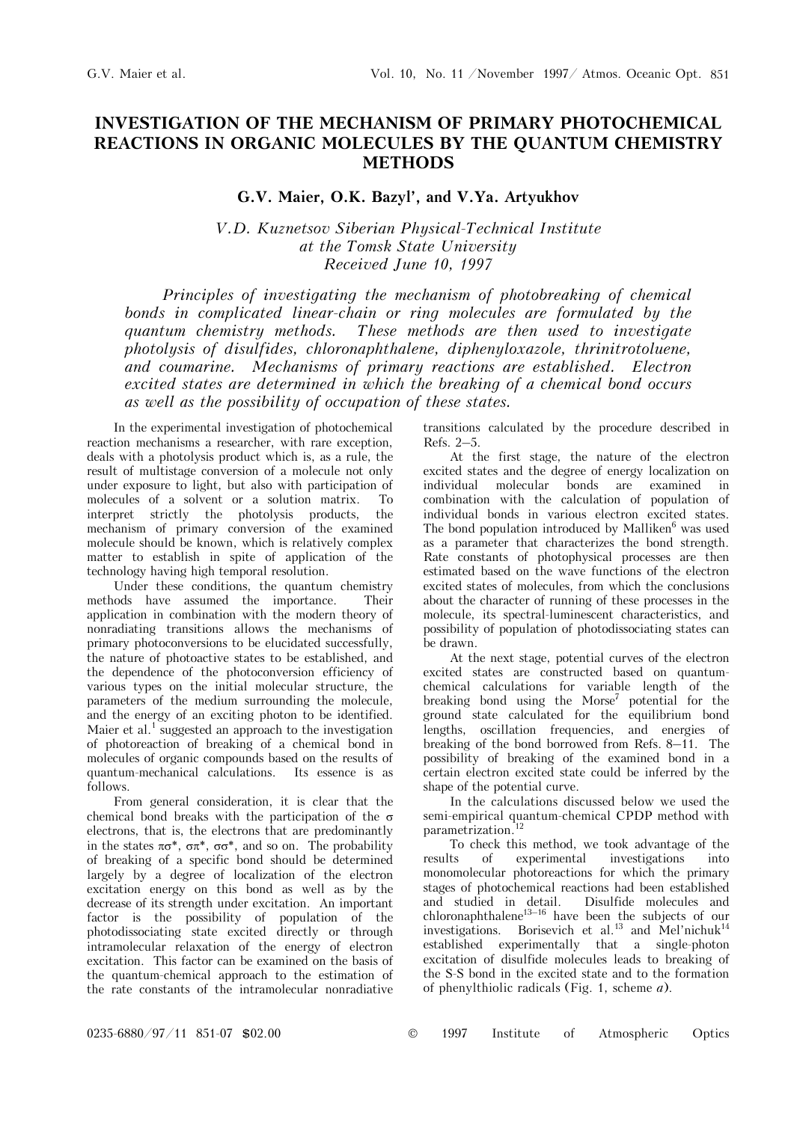## **INVESTIGATION OF THE MECHANISM OF PRIMARY PHOTOCHEMICAL REACTIONS IN ORGANIC MOLECULES BY THE QUANTUM CHEMISTRY METHODS**

## **G.V. Maier, O.K. Bazyl', and V.Ya. Artyukhov**

*V.D. Kuznetsov Siberian Physical-Technical Institute at the Tomsk State University Received June 10, 1997* 

*Principles of investigating the mechanism of photobreaking of chemical bonds in complicated linear-chain or ring molecules are formulated by the quantum chemistry methods. These methods are then used to investigate photolysis of disulfides, chloronaphthalene, diphenyloxazole, thrinitrotoluene,*  and coumarine. Mechanisms of primary reactions are established. Electron *excited states are determined in which the breaking of a chemical bond occurs as well as the possibility of occupation of these states.* 

In the experimental investigation of photochemical reaction mechanisms a researcher, with rare exception, deals with a photolysis product which is, as a rule, the result of multistage conversion of a molecule not only under exposure to light, but also with participation of molecules of a solvent or a solution matrix. To interpret strictly the photolysis products, the mechanism of primary conversion of the examined molecule should be known, which is relatively complex matter to establish in spite of application of the technology having high temporal resolution.

Under these conditions, the quantum chemistry methods have assumed the importance. Their application in combination with the modern theory of nonradiating transitions allows the mechanisms of primary photoconversions to be elucidated successfully, the nature of photoactive states to be established, and the dependence of the photoconversion efficiency of various types on the initial molecular structure, the parameters of the medium surrounding the molecule, and the energy of an exciting photon to be identified. Maier et al.<sup>1</sup> suggested an approach to the investigation of photoreaction of breaking of a chemical bond in molecules of organic compounds based on the results of quantum-mechanical calculations. Its essence is as follows.

From general consideration, it is clear that the chemical bond breaks with the participation of the σ electrons, that is, the electrons that are predominantly in the states  $\pi\sigma^*$ ,  $\sigma\pi^*$ ,  $\sigma\sigma^*$ , and so on. The probability of breaking of a specific bond should be determined largely by a degree of localization of the electron excitation energy on this bond as well as by the decrease of its strength under excitation. An important factor is the possibility of population of the photodissociating state excited directly or through intramolecular relaxation of the energy of electron excitation. This factor can be examined on the basis of the quantum-chemical approach to the estimation of the rate constants of the intramolecular nonradiative

transitions calculated by the procedure described in Refs. 2–5.

At the first stage, the nature of the electron excited states and the degree of energy localization on individual molecular bonds are examined in combination with the calculation of population of individual bonds in various electron excited states. The bond population introduced by Malliken $<sup>6</sup>$  was used</sup> as a parameter that characterizes the bond strength. Rate constants of photophysical processes are then estimated based on the wave functions of the electron excited states of molecules, from which the conclusions about the character of running of these processes in the molecule, its spectral-luminescent characteristics, and possibility of population of photodissociating states can be drawn.

At the next stage, potential curves of the electron excited states are constructed based on quantumchemical calculations for variable length of the breaking bond using the  $Morse<sup>7</sup>$  potential for the ground state calculated for the equilibrium bond lengths, oscillation frequencies, and energies of breaking of the bond borrowed from Refs. 8–11. The possibility of breaking of the examined bond in a certain electron excited state could be inferred by the shape of the potential curve.

In the calculations discussed below we used the semi-empirical quantum-chemical CPDP method with parametrization.<sup>12</sup>

To check this method, we took advantage of the<br>ts of experimental investigations into results of experimental investigations into monomolecular photoreactions for which the primary stages of photochemical reactions had been established and studied in detail. Disulfide molecules and chloronaphthalene<sup>13–16</sup> have been the subjects of our investigations. Borisevich et al.<sup>13</sup> and Mel'nichuk<sup>14</sup> established experimentally that a single-photon excitation of disulfide molecules leads to breaking of the S-S bond in the excited state and to the formation of phenylthiolic radicals (Fig. 1, scheme *à*).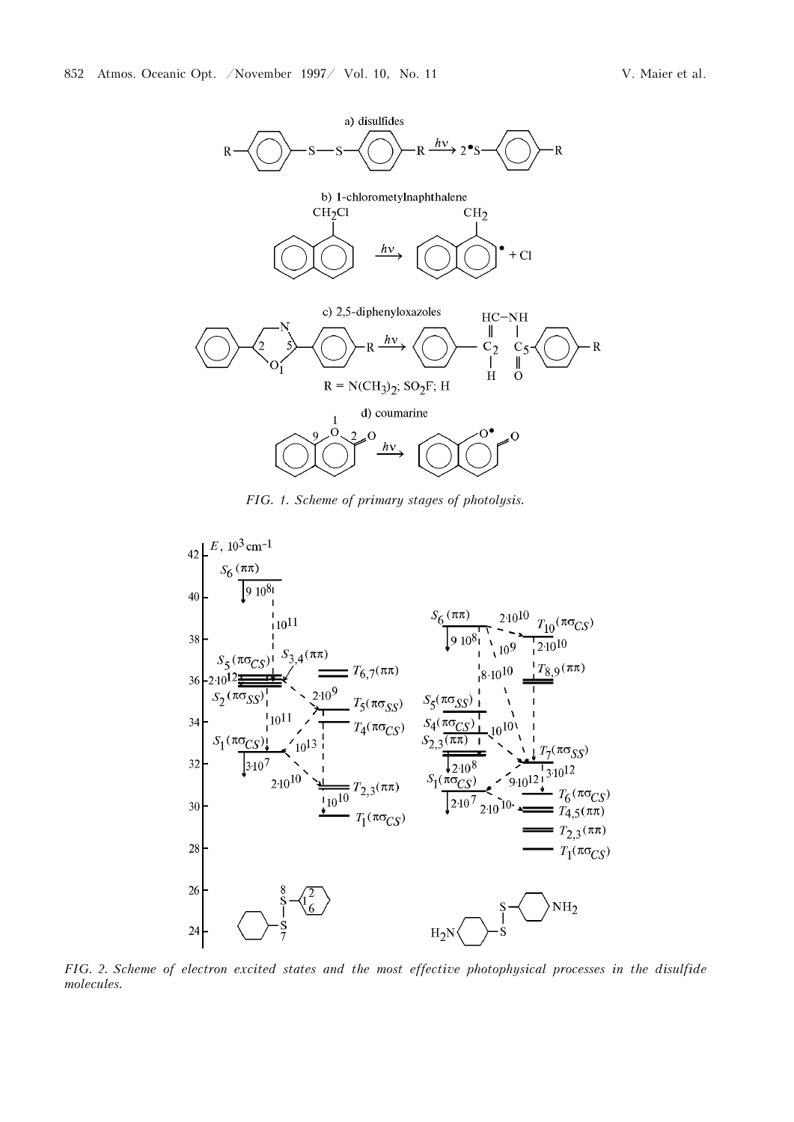

*FIG. 1. Scheme of primary stages of photolysis.* 



*FIG. 2. Scheme of electron excited states and the most effective photophysical processes in the disulfide molecules.*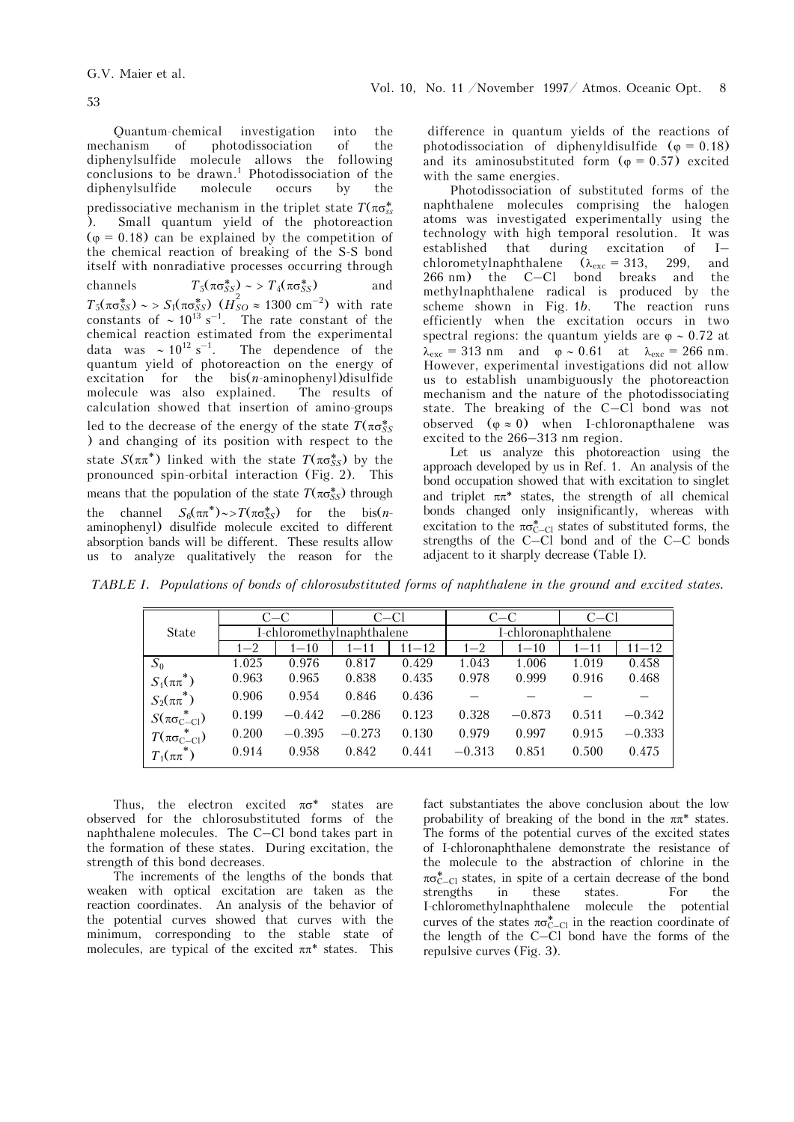Quantum-chemical investigation into the mechanism of photodissociation of the diphenylsulfide molecule allows the following  $conclusions to be drawn.<sup>1</sup> Photodissociation of the$ diphenylsulfide molecule occurs by the predissociative mechanism in the triplet state  $T(\pi\sigma_{ss}^*)$ ). Small quantum yield of the photoreaction  $(\varphi = 0.18)$  can be explained by the competition of the chemical reaction of breaking of the S-S bond itself with nonradiative processes occurring through channels  $T_5(\pi \sigma_{SS}^*) \sim T_4(\pi \sigma_{SS}^*)$  and *T*<sub>5</sub>(πσ*ξ*<sub>*SS*</sub>) ∼ > *S*<sub>I</sub>(πσ*ξ*<sub>*SS*</sub>) (*H<sub>SO</sub>* ≈ 1300 cm<sup>-2</sup>) with rate constants of ~  $10^{13}$  s<sup>-1</sup>. The rate constant of the chemical reaction estimated from the experimental<br>data was  $\sim 10^{12}$  s<sup>-1</sup>. The dependence of the The dependence of the quantum yield of photoreaction on the energy of excitation for the bis(*n*-aminophenyl)disulfide molecule was also explained. The results of calculation showed that insertion of amino-groups led to the decrease of the energy of the state  $T(\pi\sigma_{SS}^*)$ ) and changing of its position with respect to the state  $S(\pi\pi^*)$  linked with the state  $T(\pi\sigma_{SS}^*)$  by the pronounced spin-orbital interaction (Fig. 2). This means that the population of the state  $T(\pi \sigma_{SS}^*)$  through the channel  $S_6(\pi \pi^*) \sim \frac{\pi}{\pi} \sigma_{SS}^*$  for the bis(*n*aminophenyl) disulfide molecule excited to different absorption bands will be different. These results allow us to analyze qualitatively the reason for the

 difference in quantum yields of the reactions of photodissociation of diphenyldisulfide ( $\varphi = 0.18$ ) and its aminosubstituted form  $(\varphi = 0.57)$  excited with the same energies.

Photodissociation of substituted forms of the naphthalene molecules comprising the halogen atoms was investigated experimentally using the technology with high temporal resolution. It was established that during excitation of I– chlorometylnaphthalene  $(\lambda_{\text{exc}} = 313, 299, \text{ and} 266 \text{ nm})$  the C-Cl bond breaks and the  $266$  nm) the  $C-Cl$  bond breaks and methylnaphthalene radical is produced by the scheme shown in Fig. 1*b*. The reaction runs efficiently when the excitation occurs in two spectral regions: the quantum yields are  $\varphi \sim 0.72$  at  $\lambda_{\rm exc} = 313$  nm and  $\varphi \sim 0.61$  at  $\lambda_{\rm exc} = 266$  nm. However, experimental investigations did not allow us to establish unambiguously the photoreaction mechanism and the nature of the photodissociating state. The breaking of the C–Cl bond was not observed  $(\varphi \approx 0)$  when I-chloronapthalene was excited to the 266–313 nm region.

Let us analyze this photoreaction using the approach developed by us in Ref. 1. An analysis of the bond occupation showed that with excitation to singlet and triplet  $\pi \pi^*$  states, the strength of all chemical bonds changed only insignificantly, whereas with excitation to the  $\pi\sigma_{C-Cl}^*$  states of substituted forms, the strengths of the  $C-Cl$  bond and of the  $C-C$  bonds adjacent to it sharply decrease (Table I).

*TABLE I. Populations of bonds of chlorosubstituted forms of naphthalene in the ground and excited states.* 

|                         | $C-C$   |          | C-Cl                      |           | $C-C$               |          | $C-C1$   |           |
|-------------------------|---------|----------|---------------------------|-----------|---------------------|----------|----------|-----------|
| <b>State</b>            |         |          | I-chloromethylnaphthalene |           | I-chloronaphthalene |          |          |           |
|                         | $1 - 2$ | $1 - 10$ | $1 - 11$                  | $11 - 12$ | $1 - 2$             | $1 - 10$ | $1 - 11$ | $11 - 12$ |
| $S_0$                   | 1.025   | 0.976    | 0.817                     | 0.429     | 1.043               | 1.006    | 1.019    | 0.458     |
| $S_1(\pi\pi^*)$         | 0.963   | 0.965    | 0.838                     | 0.435     | 0.978               | 0.999    | 0.916    | 0.468     |
| $S_2(\pi\pi^*)$         | 0.906   | 0.954    | 0.846                     | 0.436     |                     |          |          |           |
| $S(\pi\sigma_{C-C1}^*)$ | 0.199   | $-0.442$ | $-0.286$                  | 0.123     | 0.328               | $-0.873$ | 0.511    | $-0.342$  |
| $T(\pi\sigma_{C-C1}^*)$ | 0.200   | $-0.395$ | $-0.273$                  | 0.130     | 0.979               | 0.997    | 0.915    | $-0.333$  |
| $T_1(\pi\pi^*)$         | 0.914   | 0.958    | 0.842                     | 0.441     | $-0.313$            | 0.851    | 0.500    | 0.475     |

Thus, the electron excited  $\pi\sigma^*$  states are observed for the chlorosubstituted forms of the naphthalene molecules. The C–Cl bond takes part in the formation of these states. During excitation, the strength of this bond decreases.

The increments of the lengths of the bonds that weaken with optical excitation are taken as the reaction coordinates. An analysis of the behavior of the potential curves showed that curves with the minimum, corresponding to the stable state of molecules, are typical of the excited  $\pi \pi^*$  states. This fact substantiates the above conclusion about the low probability of breaking of the bond in the  $\pi \pi^*$  states. The forms of the potential curves of the excited states of I-chloronaphthalene demonstrate the resistance of the molecule to the abstraction of chlorine in the πσ\* C–Cl states, in spite of a certain decrease of the bond strengths in these states. For the I-chloromethylnaphthalene molecule the potential curves of the states  $\pi\sigma_{C-Cl}^*$  in the reaction coordinate of the length of the C–Cl bond have the forms of the repulsive curves (Fig. 3).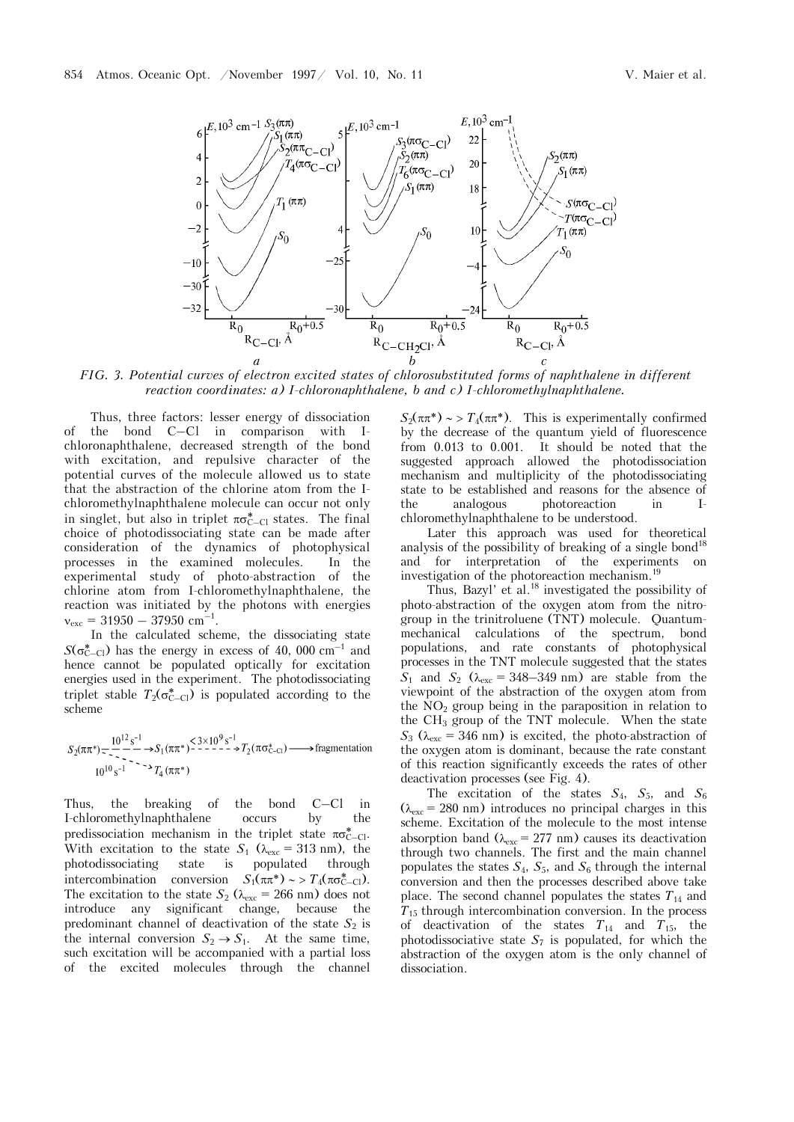

*FIG. 3. Potential curves of electron excited states of chlorosubstituted forms of naphthalene in different reaction coordinates: à) I-chloronaphthalene, b and c) I-chloromethylnaphthalene.*

Thus, three factors: lesser energy of dissociation of the bond C–Cl in comparison with Ichloronaphthalene, decreased strength of the bond with excitation, and repulsive character of the potential curves of the molecule allowed us to state that the abstraction of the chlorine atom from the Ichloromethylnaphthalene molecule can occur not only in singlet, but also in triplet  $\pi\sigma_{C-C}^*$  states. The final choice of photodissociating state can be made after consideration of the dynamics of photophysical processes in the examined molecules. In the experimental study of photo-abstraction of the chlorine atom from I-chloromethylnaphthalene, the reaction was initiated by the photons with energies  $v_{\rm exc} = 31950 - 37950$  cm<sup>-1</sup>.

In the calculated scheme, the dissociating state  $S(\sigma_{C-C}^* )$  has the energy in excess of 40, 000 cm<sup>-1</sup> and hence cannot be populated optically for excitation energies used in the experiment. The photodissociating triplet stable  $T_2(\sigma_{C-C}^*)$  is populated according to the scheme

 $S_2(\pi \pi^*) = \frac{10^{12} s^{-1}}{10^{10} s^{-1}} \rightarrow S_1(\pi \pi^*)^{\leq 3 \times 10^9 s^{-1}} \rightarrow T_2(\pi \sigma_{C-C}^*)$  Tragmentation

Thus, the breaking of the bond C–Cl in I-chloromethylnaphthalene occurs by the predissociation mechanism in the triplet state  $\pi \sigma_{C-C}^*$ . With excitation to the state  $S_1$  ( $\lambda_{\text{exc}} = 313 \text{ nm}$ ), the photodissociating state is populated through intercombination conversion  $S_1(\pi \pi^*) \sim \frac{\Gamma_4(\pi \sigma^*_{C-C})}{\Gamma_6(\pi \sigma^*_{C-C})}$ . The excitation to the state  $S_2$  ( $\lambda_{\text{exc}} = 266$  nm) does not introduce any significant change, because the predominant channel of deactivation of the state  $S_2$  is the internal conversion  $S_2 \rightarrow S_1$ . At the same time, such excitation will be accompanied with a partial loss of the excited molecules through the channel

 $S_2(\pi \pi^*) \sim \frac{\pi}{4}(\pi \pi^*)$ . This is experimentally confirmed by the decrease of the quantum yield of fluorescence from 0.013 to 0.001. It should be noted that the suggested approach allowed the photodissociation mechanism and multiplicity of the photodissociating state to be established and reasons for the absence of the analogous photoreaction in Ichloromethylnaphthalene to be understood.

Later this approach was used for theoretical analysis of the possibility of breaking of a single bond<sup>18</sup> and for interpretation of the experiments on investigation of the photoreaction mechanism.<sup>19</sup>

Thus, Bazyl' et al.18 investigated the possibility of photo-abstraction of the oxygen atom from the nitrogroup in the trinitroluene (TNT) molecule. Quantummechanical calculations of the spectrum, bond populations, and rate constants of photophysical processes in the TNT molecule suggested that the states  $S_1$  and  $S_2$  ( $\lambda_{\rm exc} = 348 - 349$  nm) are stable from the viewpoint of the abstraction of the oxygen atom from the  $NO<sub>2</sub>$  group being in the paraposition in relation to the  $CH<sub>3</sub>$  group of the TNT molecule. When the state  $S_3$  ( $\lambda_{\rm exc}$  = 346 nm) is excited, the photo-abstraction of the oxygen atom is dominant, because the rate constant of this reaction significantly exceeds the rates of other deactivation processes (see Fig. 4).

The excitation of the states  $S_4$ ,  $S_5$ , and  $S_6$  $(\lambda_{\rm exc} = 280 \text{ nm})$  introduces no principal charges in this scheme. Excitation of the molecule to the most intense absorption band ( $\lambda_{\text{exc}} = 277$  nm) causes its deactivation through two channels. The first and the main channel populates the states  $S_4$ ,  $S_5$ , and  $S_6$  through the internal conversion and then the processes described above take place. The second channel populates the states  $T_{14}$  and  $T_{15}$  through intercombination conversion. In the process of deactivation of the states  $T_{14}$  and  $T_{15}$ , the photodissociative state  $S_7$  is populated, for which the abstraction of the oxygen atom is the only channel of dissociation.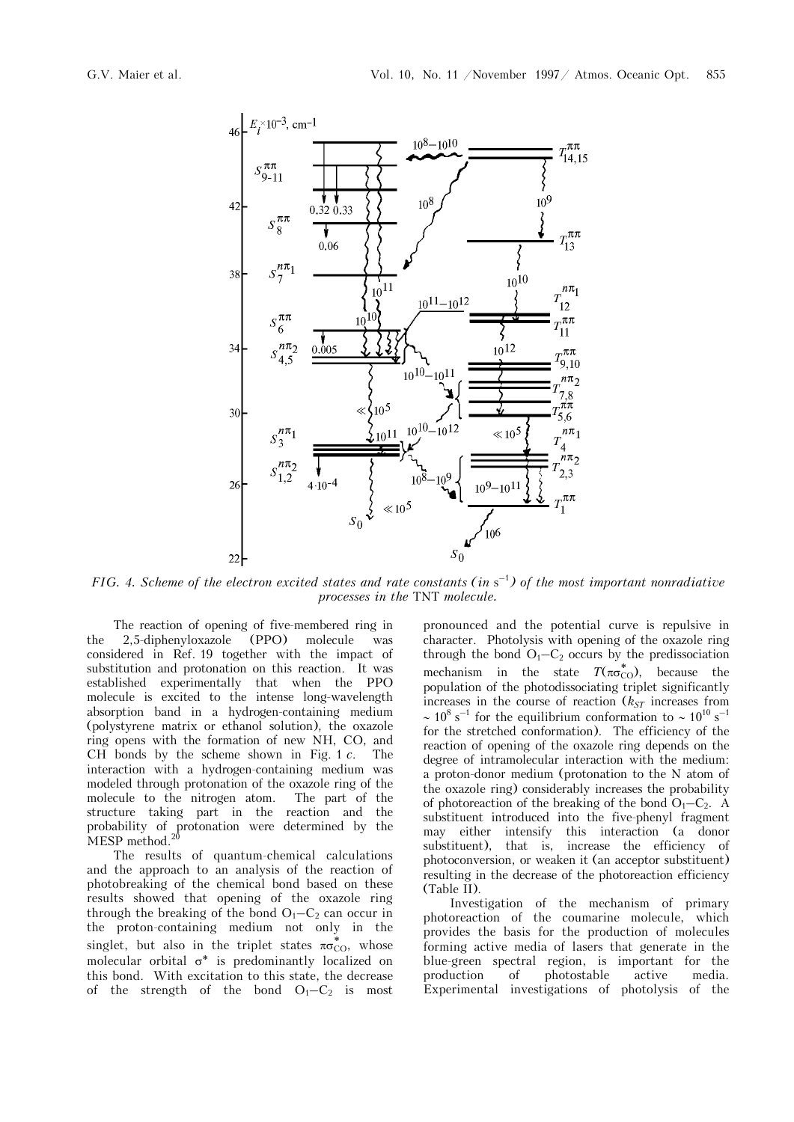

FIG. 4. Scheme of the electron excited states and rate constants (in  $s^{-1}$ ) of the most important nonradiative *processes in the* TNT *molecule.* 

The reaction of opening of five-membered ring in the 2,5-diphenyloxazole (PPO) molecule was considered in Ref. 19 together with the impact of substitution and protonation on this reaction. It was established experimentally that when the PPO molecule is excited to the intense long-wavelength absorption band in a hydrogen-containing medium (polystyrene matrix or ethanol solution), the oxazole ring opens with the formation of new NH, CO, and CH bonds by the scheme shown in Fig.  $1 c$ . The interaction with a hydrogen-containing medium was modeled through protonation of the oxazole ring of the molecule to the nitrogen atom. The part of the structure taking part in the reaction and the probability of protonation were determined by the MESP method. $20$ 

The results of quantum-chemical calculations and the approach to an analysis of the reaction of photobreaking of the chemical bond based on these results showed that opening of the oxazole ring through the breaking of the bond  $O_1-C_2$  can occur in the proton-containing medium not only in the singlet, but also in the triplet states  $\pi\sigma_{\text{CO}}^*$ , whose molecular orbital  $\sigma^*$  is predominantly localized on this bond. With excitation to this state, the decrease of the strength of the bond  $O_1-C_2$  is most

pronounced and the potential curve is repulsive in character. Photolysis with opening of the oxazole ring through the bond  $O_1-C_2$  occurs by the predissociation mechanism in the state  $T(\pi\sigma_{\text{CO}}^*)$ , because the population of the photodissociating triplet significantly increases in the course of reaction  $(k_{ST}$  increases from  $\sim 10^8$  s<sup>-1</sup> for the equilibrium conformation to  $\sim 10^{10}$  s<sup>-1</sup> for the stretched conformation). The efficiency of the reaction of opening of the oxazole ring depends on the degree of intramolecular interaction with the medium: a proton-donor medium (protonation to the N atom of the oxazole ring) considerably increases the probability of photoreaction of the breaking of the bond  $O_1-C_2$ . A substituent introduced into the five-phenyl fragment may either intensify this interaction (a donor substituent), that is, increase the efficiency of photoconversion, or weaken it (an acceptor substituent) resulting in the decrease of the photoreaction efficiency (Table II).

Investigation of the mechanism of primary photoreaction of the coumarine molecule, which provides the basis for the production of molecules forming active media of lasers that generate in the blue-green spectral region, is important for the production of photostable active media. Experimental investigations of photolysis of the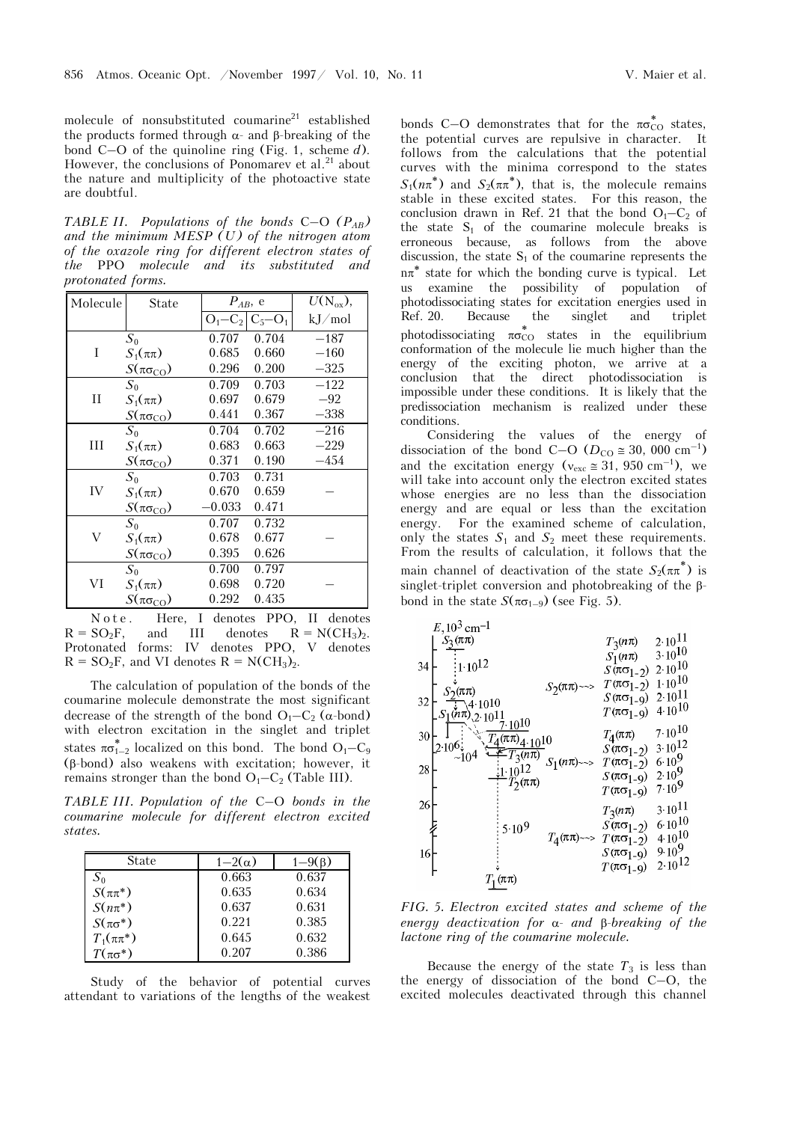molecule of nonsubstituted coumarine<sup>21</sup> established the products formed through  $α$ - and β-breaking of the bond C–O of the quinoline ring (Fig. 1, scheme *d*). However, the conclusions of Ponomarev et al.<sup>21</sup> about the nature and multiplicity of the photoactive state are doubtful.

*TABLE II. Populations of the bonds* C–O *(PAB) and the minimum MESP (U) of the nitrogen atom of the oxazole ring for different electron states of the* PPO *molecule and its substituted and protonated forms.* 

| Molecule    | <b>State</b>               | $P_{AB}$ , e |             | $\overline{U(N_{ox})},$ |  |
|-------------|----------------------------|--------------|-------------|-------------------------|--|
|             |                            | $O_1-C_2$    | $C_5 - O_1$ | kJ/mol                  |  |
|             | $S_0$                      | 0.707        | 0.704       | $-187$                  |  |
| T           | $S_1(\pi\pi)$              | 0.685        | 0.660       | $-160$                  |  |
|             | $S(\pi\sigma_{\rm CO})$    | 0.296        | 0.200       | $-325$                  |  |
|             | $S_0$                      | 0.709        | 0.703       | $-122$                  |  |
| $_{\rm II}$ | $S_1(\pi\pi)$              | 0.697        | 0.679       | $-92$                   |  |
|             | $S(\pi\sigma_{\rm CO})$    | 0.441        | 0.367       | $-338$                  |  |
|             | $S_0$                      | 0.704        | 0.702       | $-216$                  |  |
| III         | $S_1(\pi\pi)$              | 0.683        | 0.663       | $-229$                  |  |
|             | $S(\pi\sigma_{\text{CO}})$ | 0.371        | 0.190       | $-454$                  |  |
|             | $S_0$                      | 0.703        | 0.731       |                         |  |
| IV          | $S_1(\pi\pi)$              | 0.670        | 0.659       |                         |  |
|             | $S(\pi\sigma_{\rm CO})$    | $-0.033$     | 0.471       |                         |  |
|             | $S_0$                      | 0.707        | 0.732       |                         |  |
| V           | $S_1(\pi\pi)$              | 0.678        | 0.677       |                         |  |
|             | $S(\pi\sigma_{\text{CO}})$ | 0.395        | 0.626       |                         |  |
|             | $S_0$                      | 0.700        | 0.797       |                         |  |
| VI          | $S_1(\pi\pi)$              | 0.698        | 0.720       |                         |  |
|             | $S(\pi\sigma_{\text{CO}})$ | 0.292        | 0.435       |                         |  |

Note. Here, I denotes PPO, II denotes  $R = SO<sub>2</sub>F$ , and III denotes  $R = N(CH<sub>3</sub>)<sub>2</sub>$ . Protonated forms: IV denotes PPO, V denotes  $R = SO<sub>2</sub>F$ , and VI denotes  $R = N(CH<sub>3</sub>)<sub>2</sub>$ .

The calculation of population of the bonds of the coumarine molecule demonstrate the most significant decrease of the strength of the bond  $O_1-C_2$  ( $\alpha$ -bond) with electron excitation in the singlet and triplet states  $\pi\sigma_{1-2}^*$  localized on this bond. The bond  $\mathrm{O}_1\mathrm{-C}_9$ (β-bond) also weakens with excitation; however, it remains stronger than the bond  $O_1-C_2$  (Table III).

*TABLE III. Population of the* C–O *bonds in the coumarine molecule for different electron excited states.* 

| State            | $1-2(\alpha)$ | $1-9(\beta)$ |
|------------------|---------------|--------------|
| $S_0$            | 0.663         | 0.637        |
| $S(\pi\pi^*)$    | 0.635         | 0.634        |
| $S(n\pi^*)$      | 0.637         | 0.631        |
| $S(\pi\sigma^*)$ | 0.221         | 0.385        |
| $T_1(\pi\pi^*)$  | 0.645         | 0.632        |
| $T(\pi\sigma^*)$ | 0.207         | 0.386        |

Study of the behavior of potential curves attendant to variations of the lengths of the weakest

bonds C-O demonstrates that for the  $\pi\sigma_{\text{CO}}^*$  states, the potential curves are repulsive in character. It follows from the calculations that the potential curves with the minima correspond to the states  $S_1(n\pi^*)$  and  $S_2(\pi^*)$ , that is, the molecule remains stable in these excited states. For this reason, the conclusion drawn in Ref. 21 that the bond  $O_1-C_2$  of the state  $S_1$  of the coumarine molecule breaks is erroneous because, as follows from the above discussion, the state  $S_1$  of the coumarine represents the  $n\pi^*$  state for which the bonding curve is typical. Let us examine the possibility of population of photodissociating states for excitation energies used in Ref. 20. Because the singlet and triplet photodissociating  $\pi\sigma_{\rm CO}^*$  states in the equilibrium conformation of the molecule lie much higher than the energy of the exciting photon, we arrive at a conclusion that the direct photodissociation is impossible under these conditions. It is likely that the predissociation mechanism is realized under these conditions.

Considering the values of the energy of dissociation of the bond C–O ( $D_{\text{CO}} \approx 30$ , 000 cm<sup>-1</sup>) and the excitation energy ( $v_{\text{exc}} \approx 31,950 \text{ cm}^{-1}$ ), we will take into account only the electron excited states whose energies are no less than the dissociation energy and are equal or less than the excitation energy. For the examined scheme of calculation, only the states  $S_1$  and  $S_2$  meet these requirements. From the results of calculation, it follows that the main channel of deactivation of the state  $S_2(\pi\pi^*)$  is singlet-triplet conversion and photobreaking of the βbond in the state  $S(\pi\sigma_{1-9})$  (see Fig. 5).



*FIG. 5. Electron excited states and scheme of the energy deactivation for* α- *and* β-*breaking of the lactone ring of the coumarine molecule.*

Because the energy of the state  $T_3$  is less than the energy of dissociation of the bond  $C-O$ , the excited molecules deactivated through this channel